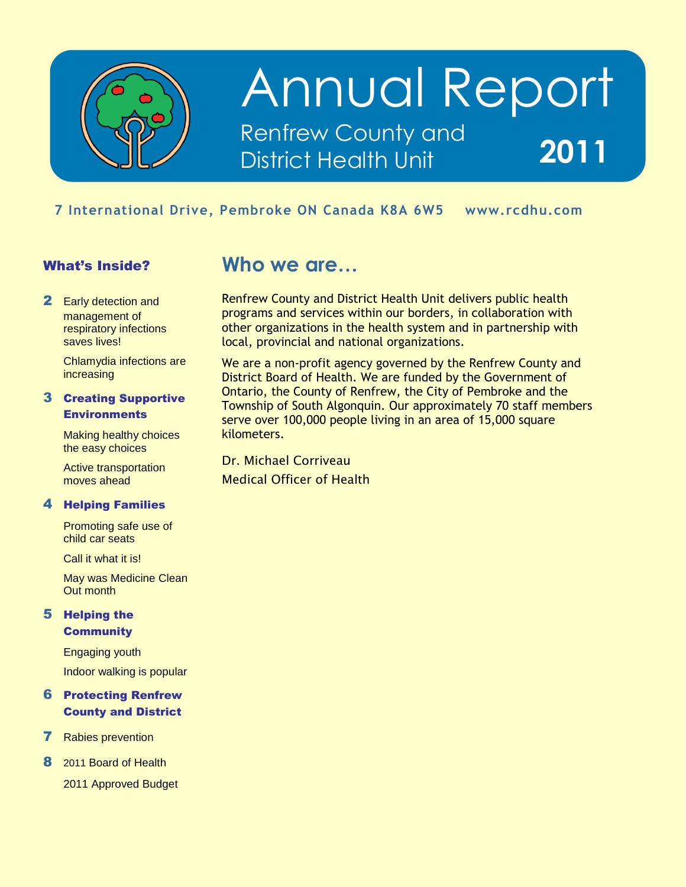

## Annual Report Renfrew County and District Health Unit **2011**

## mbroke <mark>ON</mark> Ca **7 International Drive, Pembroke ON Canada K8A 6W5 www.rcdhu.com**

### What's Inside?

**2** Early detection and management of respiratory infections saves lives!

> Chlamydia infections are increasing

### 3 Creating Supportive **Environments**

Making healthy choices the easy choices

Active transportation moves ahead

### 4 Helping Families

Promoting safe use of child car seats

Call it what it is!

May was Medicine Clean Out month

### 5 Helping the **Community**

Engaging youth Indoor walking is popular

#### 6 Protecting Renfrew County and District

- 7 Rabies prevention
- 8 2011 Board of Health
	- 2011 Approved Budget

### **Who we are…**

Renfrew County and District Health Unit delivers public health programs and services within our borders, in collaboration with other organizations in the health system and in partnership with local, provincial and national organizations.

We are a non-profit agency governed by the Renfrew County and District Board of Health. We are funded by the Government of Ontario, the County of Renfrew, the City of Pembroke and the Township of South Algonquin. Our approximately 70 staff members serve over 100,000 people living in an area of 15,000 square kilometers.

Dr. Michael Corriveau Medical Officer of Health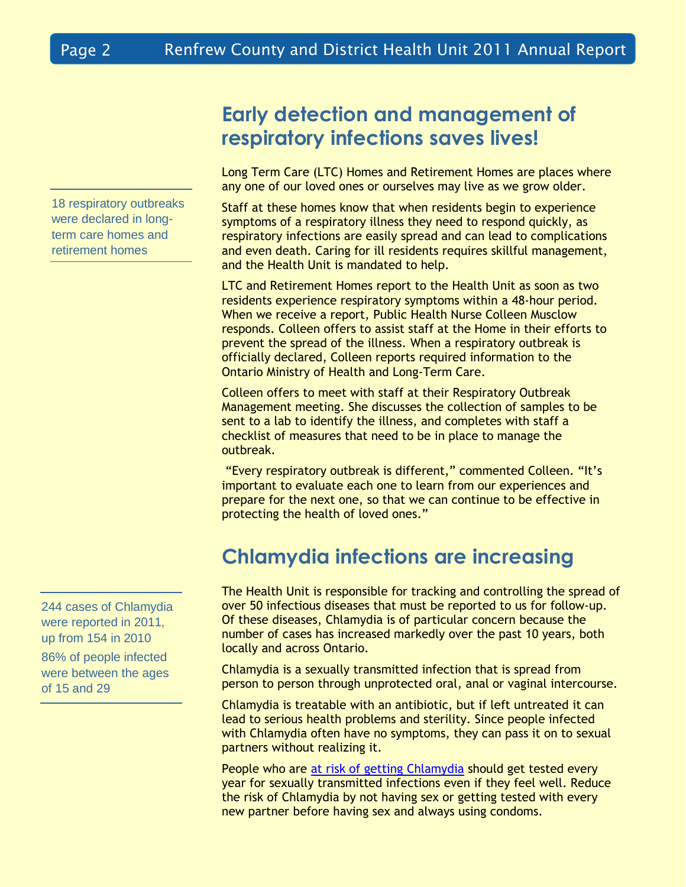18 respiratory outbreaks were declared in longterm care homes and retirement homes

244 cases of Chlamydia were reported in 2011, up from 154 in 2010 86% of people infected were between the ages of 15 and 29

## **Early detection and management of respiratory infections saves lives!**

Long Term Care (LTC) Homes and Retirement Homes are places where any one of our loved ones or ourselves may live as we grow older.

Staff at these homes know that when residents begin to experience symptoms of a respiratory illness they need to respond quickly, as respiratory infections are easily spread and can lead to complications and even death. Caring for ill residents requires skillful management, and the Health Unit is mandated to help.

LTC and Retirement Homes report to the Health Unit as soon as two residents experience respiratory symptoms within a 48-hour period. When we receive a report, Public Health Nurse Colleen Musclow responds. Colleen offers to assist staff at the Home in their efforts to prevent the spread of the illness. When a respiratory outbreak is officially declared, Colleen reports required information to the Ontario Ministry of Health and Long-Term Care.

Colleen offers to meet with staff at their Respiratory Outbreak Management meeting. She discusses the collection of samples to be sent to a lab to identify the illness, and completes with staff a checklist of measures that need to be in place to manage the outbreak.

"Every respiratory outbreak is different," commented Colleen. "It's important to evaluate each one to learn from our experiences and prepare for the next one, so that we can continue to be effective in protecting the health of loved ones."

## **Chlamydia infections are increasing**

The Health Unit is responsible for tracking and controlling the spread of over 50 infectious diseases that must be reported to us for follow-up. Of these diseases, Chlamydia is of particular concern because the number of cases has increased markedly over the past 10 years, both locally and across Ontario.

Chlamydia is a sexually transmitted infection that is spread from person to person through unprotected oral, anal or vaginal intercourse.

Chlamydia is treatable with an antibiotic, but if left untreated it can lead to serious health problems and sterility. Since people infected with Chlamydia often have no symptoms, they can pass it on to sexual partners without realizing it.

People who are at risk of [getting Chlamydia](http://www.phac-aspc.gc.ca/publicat/std-mts/chlam-eng.php) should get tested every year for sexually transmitted infections even if they feel well. Reduce the risk of Chlamydia by not having sex or getting tested with every new partner before having sex and always using condoms.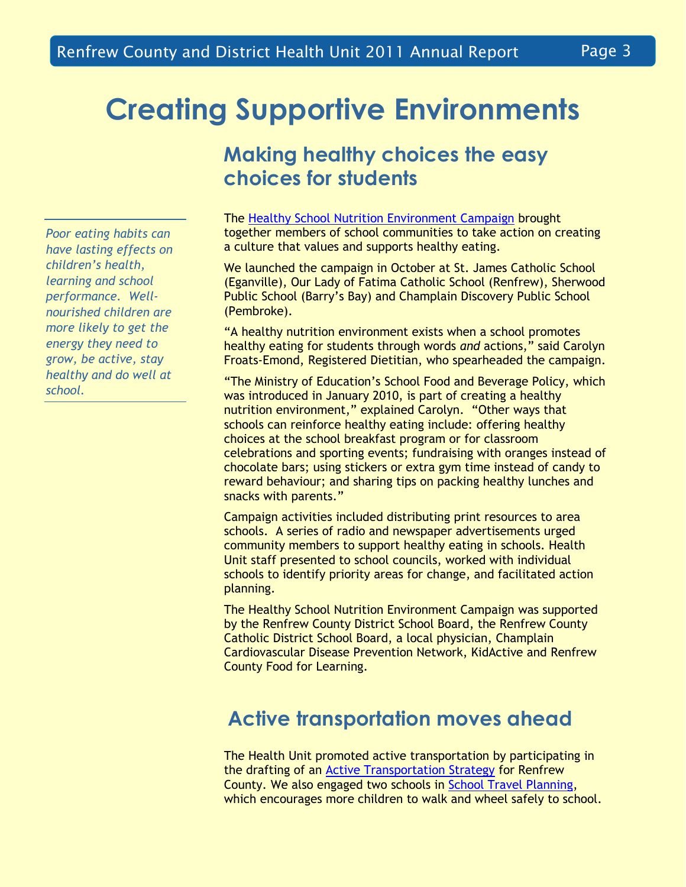## **Creating Supportive Environments**

*Poor eating habits can have lasting effects on children's health, learning and school performance. Wellnourished children are more likely to get the energy they need to grow, be active, stay healthy and do well at school.*

## **Making healthy choices the easy choices for students**

The [Healthy School Nutrition Environment Campaign](http://www.rcdhu.com/Pages/ChronicDisease/school-nutrition-environment.html) brought together members of school communities to take action on creating a culture that values and supports healthy eating.

We launched the campaign in October at St. James Catholic School (Eganville), Our Lady of Fatima Catholic School (Renfrew), Sherwood Public School (Barry's Bay) and Champlain Discovery Public School (Pembroke).

"A healthy nutrition environment exists when a school promotes healthy eating for students through words *and* actions," said Carolyn Froats-Emond, Registered Dietitian, who spearheaded the campaign.

"The Ministry of Education's School Food and Beverage Policy, which was introduced in January 2010, is part of creating a healthy nutrition environment," explained Carolyn. "Other ways that schools can reinforce healthy eating include: offering healthy choices at the school breakfast program or for classroom celebrations and sporting events; fundraising with oranges instead of chocolate bars; using stickers or extra gym time instead of candy to reward behaviour; and sharing tips on packing healthy lunches and snacks with parents."

Campaign activities included distributing print resources to area schools. A series of radio and newspaper advertisements urged community members to support healthy eating in schools. Health Unit staff presented to school councils, worked with individual schools to identify priority areas for change, and facilitated action planning.

The Healthy School Nutrition Environment Campaign was supported by the Renfrew County District School Board, the Renfrew County Catholic District School Board, a local physician, Champlain Cardiovascular Disease Prevention Network, KidActive and Renfrew County Food for Learning.

## **Active transportation moves ahead**

The Health Unit promoted active transportation by participating in the drafting of an [Active Transportation Strategy](http://www.physicalactivitynetwork.ca/active-transportation) for Renfrew County. We also engaged two schools in [School Travel Planning,](http://www.saferoutestoschool.ca/school-travel-planning) which encourages more children to walk and wheel safely to school.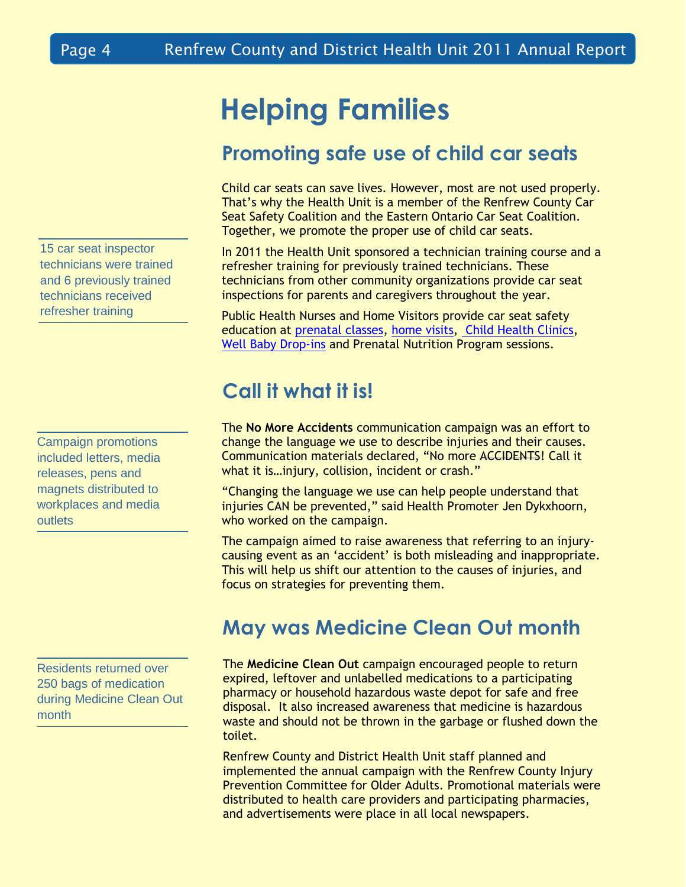15 car seat inspector technicians were trained and 6 previously trained technicians received refresher training

Campaign promotions included letters, media releases, pens and magnets distributed to workplaces and media outlets

Residents returned over 250 bags of medication during Medicine Clean Out month

## **Helping Families**

## **Promoting safe use of child car seats**

Child car seats can save lives. However, most are not used properly. That's why the Health Unit is a member of the Renfrew County Car Seat Safety Coalition and the Eastern Ontario Car Seat Coalition. Together, we promote the proper use of child car seats.

In 2011 the Health Unit sponsored a technician training course and a refresher training for previously trained technicians. These technicians from other community organizations provide car seat inspections for parents and caregivers throughout the year.

Public Health Nurses and Home Visitors provide car seat safety education at [prenatal classes,](http://www.rcdhu.com/Pages/ChildHealth/classes-prenatal.html) [home visits,](http://www.rcdhu.com/Pages/ChildHealth/hbhc.html) [Child Health Clinics,](http://www.rcdhu.com/Pages/ChildHealth/clinics-child-health.html) [Well Baby Drop-ins](http://www.rcdhu.com/Pages/ChildHealth/clinics-well-baby-dropin.html) and Prenatal Nutrition Program sessions.

## **Call it what it is!**

The **No More Accidents** communication campaign was an effort to change the language we use to describe injuries and their causes. Communication materials declared, "No more ACCIDENTS! Call it what it is…injury, collision, incident or crash."

"Changing the language we use can help people understand that injuries CAN be prevented," said Health Promoter Jen Dykxhoorn, who worked on the campaign.

The campaign aimed to raise awareness that referring to an injurycausing event as an 'accident' is both misleading and inappropriate. This will help us shift our attention to the causes of injuries, and focus on strategies for preventing them.

### **May was Medicine Clean Out month**

The **Medicine Clean Out** campaign encouraged people to return expired, leftover and unlabelled medications to a participating pharmacy or household hazardous waste depot for safe and free disposal. It also increased awareness that medicine is hazardous waste and should not be thrown in the garbage or flushed down the toilet.

Renfrew County and District Health Unit staff planned and implemented the annual campaign with the Renfrew County Injury Prevention Committee for Older Adults. Promotional materials were distributed to health care providers and participating pharmacies, and advertisements were place in all local newspapers.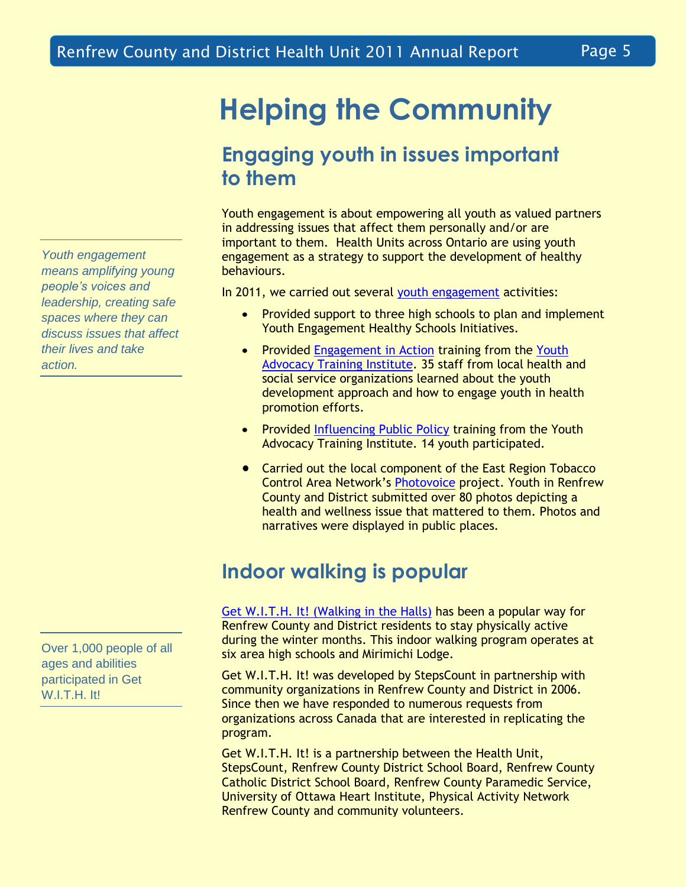**Helping the Community**

## **Engaging youth in issues important to them**

Youth engagement is about empowering all youth as valued partners in addressing issues that affect them personally and/or are important to them. Health Units across Ontario are using youth engagement as a strategy to support the development of healthy behaviours.

In 2011, we carried out several [youth engagement](http://www.rcdhu.com/Pages/ChronicDisease/youth-engagement.html) activities:

- $\bullet$ Provided support to three high schools to plan and implement Youth Engagement Healthy Schools Initiatives.
- Provided [Engagement in Action](http://www.youthadvocacy.ca/training/training-topic/engagement-action-youth-development-healthier-youth) training from the Youth [Advocacy Training Institute.](http://www.youthadvocacy.ca/) 35 staff from local health and social service organizations learned about the youth development approach and how to engage youth in health promotion efforts.
- Provided [Influencing Public Policy](http://www.youthadvocacy.ca/training/training-topic/influencing-public-policy) training from the Youth  $\bullet$ Advocacy Training Institute. 14 youth participated.
- Carried out the local component of the East Region Tobacco Control Area Network's [Photovoice](http://smokefreeeast.blogspot.ca/2011/08/photovoice.html) project. Youth in Renfrew County and District submitted over 80 photos depicting a health and wellness issue that mattered to them. Photos and narratives were displayed in public places.

## **Indoor walking is popular**

Get W.I.T.H. It! [\(Walking in the Halls\)](http://www.stepscount.com/pedometer-resources/pr-mwp-get-with-it.php) has been a popular way for Renfrew County and District residents to stay physically active during the winter months. This indoor walking program operates at six area high schools and Mirimichi Lodge.

Get W.I.T.H. It! was developed by StepsCount in partnership with community organizations in Renfrew County and District in 2006. Since then we have responded to numerous requests from organizations across Canada that are interested in replicating the program.

Get W.I.T.H. It! is a partnership between the Health Unit, StepsCount, Renfrew County District School Board, Renfrew County Catholic District School Board, Renfrew County Paramedic Service, University of Ottawa Heart Institute, Physical Activity Network Renfrew County and community volunteers.

*Youth engagement means amplifying young people's voices and leadership, creating safe spaces where they can discuss issues that affect their lives and take action.*

Over 1,000 people of all ages and abilities participated in Get W.I.T.H. It!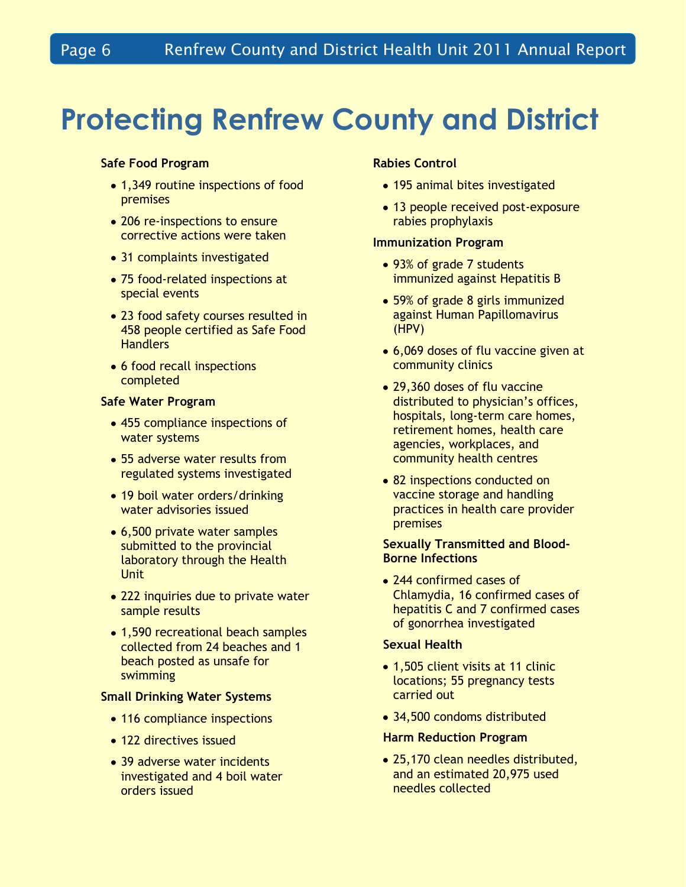## **Protecting Renfrew County and District**

### **Safe Food Program**

- 1,349 routine inspections of food premises
- 206 re-inspections to ensure corrective actions were taken
- 31 complaints investigated
- 75 food-related inspections at special events
- 23 food safety courses resulted in 458 people certified as Safe Food **Handlers**
- 6 food recall inspections completed

### **Safe Water Program**

- 455 compliance inspections of water systems
- 55 adverse water results from regulated systems investigated
- 19 boil water orders/drinking water advisories issued
- 6,500 private water samples submitted to the provincial laboratory through the Health **Unit**
- 222 inquiries due to private water sample results
- 1,590 recreational beach samples collected from 24 beaches and 1 beach posted as unsafe for swimming

### **Small Drinking Water Systems**

- 116 compliance inspections
- 122 directives issued
- 39 adverse water incidents investigated and 4 boil water orders issued

### **Rabies Control**

- 195 animal bites investigated
- 13 people received post-exposure rabies prophylaxis

### **Immunization Program**

- 93% of grade 7 students immunized against Hepatitis B
- 59% of grade 8 girls immunized against Human Papillomavirus (HPV)
- 6,069 doses of flu vaccine given at community clinics
- 29,360 doses of flu vaccine distributed to physician's offices, hospitals, long-term care homes, retirement homes, health care agencies, workplaces, and community health centres
- 82 inspections conducted on vaccine storage and handling practices in health care provider premises

### **Sexually Transmitted and Blood-Borne Infections**

• 244 confirmed cases of Chlamydia, 16 confirmed cases of hepatitis C and 7 confirmed cases of gonorrhea investigated

#### **Sexual Health**

- 1,505 client visits at 11 clinic locations; 55 pregnancy tests carried out
- 34,500 condoms distributed

#### **Harm Reduction Program**

• 25,170 clean needles distributed, and an estimated 20,975 used needles collected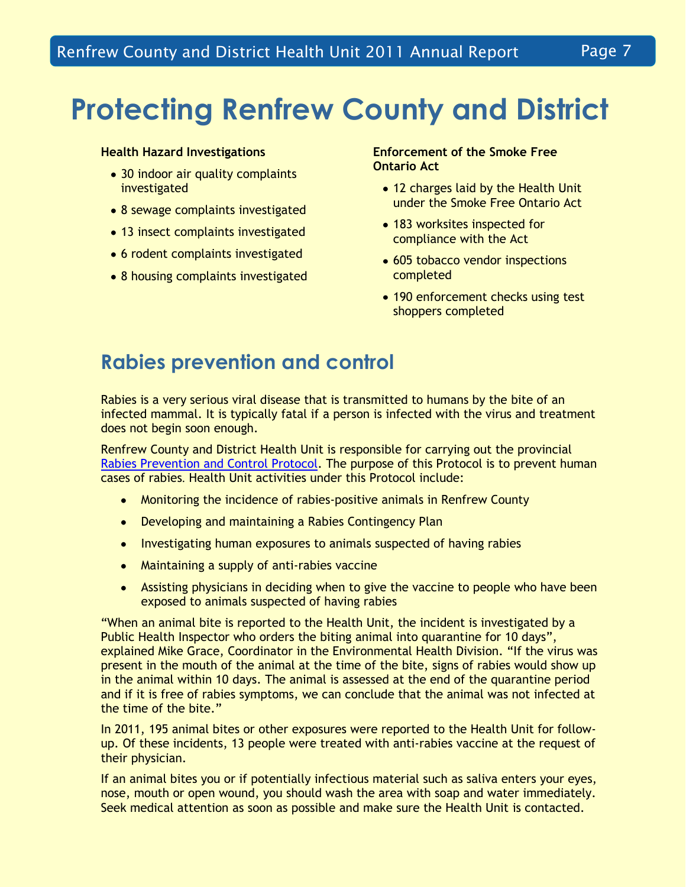# **Protecting Renfrew County and District**

### **Health Hazard Investigations**

- 30 indoor air quality complaints investigated
- 8 sewage complaints investigated
- 13 insect complaints investigated
- 6 rodent complaints investigated
- 8 housing complaints investigated

### **Enforcement of the Smoke Free Ontario Act**

- 12 charges laid by the Health Unit under the Smoke Free Ontario Act
- 183 worksites inspected for compliance with the Act
- 605 tobacco vendor inspections completed
- 190 enforcement checks using test shoppers completed

### **Rabies prevention and control**

Rabies is a very serious viral disease that is transmitted to humans by the bite of an infected mammal. It is typically fatal if a person is infected with the virus and treatment does not begin soon enough.

Renfrew County and District Health Unit is responsible for carrying out the provincial [Rabies Prevention and Control Protocol.](http://www.health.gov.on.ca/english/providers/program/pubhealth/oph_standards/ophs/progstds/protocols/rabies_prevention.pdf) The purpose of this Protocol is to prevent human cases of rabies. Health Unit activities under this Protocol include:

- Monitoring the incidence of rabies-positive animals in Renfrew County
- Developing and maintaining a Rabies Contingency Plan
- Investigating human exposures to animals suspected of having rabies
- Maintaining a supply of anti-rabies vaccine
- Assisting physicians in deciding when to give the vaccine to people who have been exposed to animals suspected of having rabies

"When an animal bite is reported to the Health Unit, the incident is investigated by a Public Health Inspector who orders the biting animal into quarantine for 10 days", explained Mike Grace, Coordinator in the Environmental Health Division. "If the virus was present in the mouth of the animal at the time of the bite, signs of rabies would show up in the animal within 10 days. The animal is assessed at the end of the quarantine period and if it is free of rabies symptoms, we can conclude that the animal was not infected at the time of the bite."

In 2011, 195 animal bites or other exposures were reported to the Health Unit for followup. Of these incidents, 13 people were treated with anti-rabies vaccine at the request of their physician.

If an animal bites you or if potentially infectious material such as saliva enters your eyes, nose, mouth or open wound, you should wash the area with soap and water immediately. Seek medical attention as soon as possible and make sure the Health Unit is contacted.